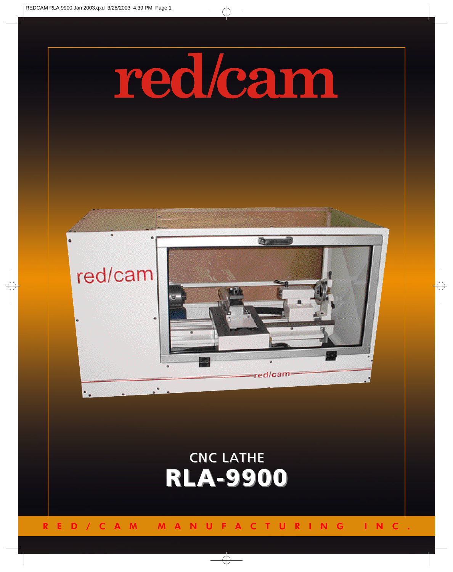

## RED/CAM MANUFACTURING INC.